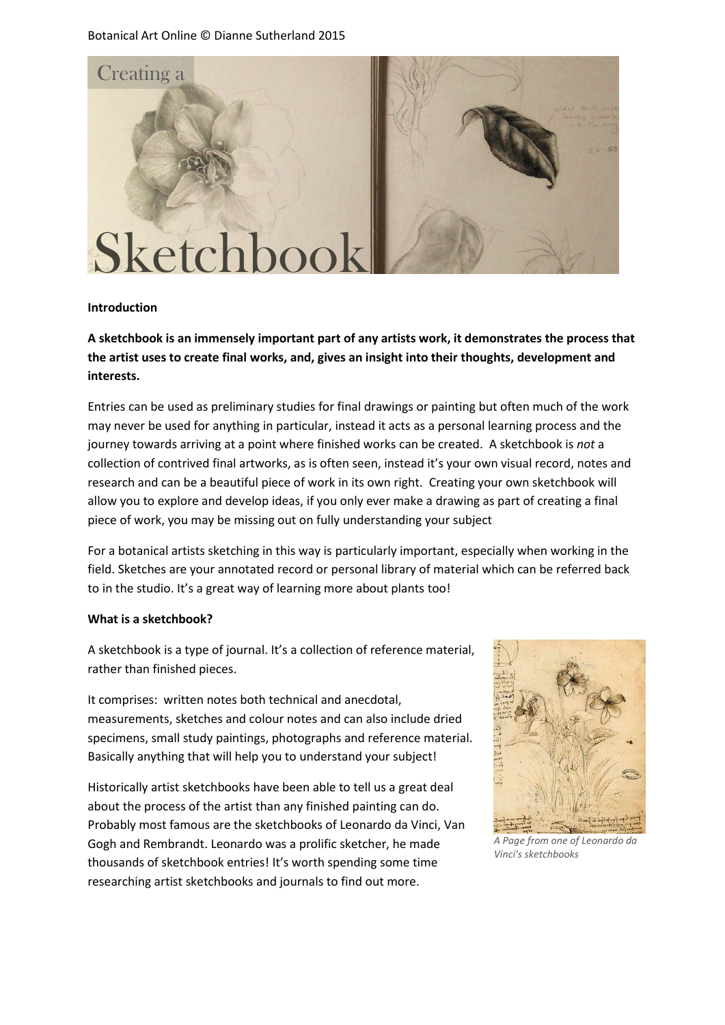Botanical Art Online © Dianne Sutherland 2015



#### **Introduction**

**A sketchbook is an immensely important part of any artists work, it demonstrates the process that the artist uses to create final works, and, gives an insight into their thoughts, development and interests.**

Entries can be used as preliminary studies for final drawings or painting but often much of the work may never be used for anything in particular, instead it acts as a personal learning process and the journey towards arriving at a point where finished works can be created. A sketchbook is *not* a collection of contrived final artworks, as is often seen, instead it's your own visual record, notes and research and can be a beautiful piece of work in its own right. Creating your own sketchbook will allow you to explore and develop ideas, if you only ever make a drawing as part of creating a final piece of work, you may be missing out on fully understanding your subject

For a botanical artists sketching in this way is particularly important, especially when working in the field. Sketches are your annotated record or personal library of material which can be referred back to in the studio. It's a great way of learning more about plants too!

#### **What is a sketchbook?**

A sketchbook is a type of journal. It's a collection of reference material, rather than finished pieces.

It comprises: written notes both technical and anecdotal, measurements, sketches and colour notes and can also include dried specimens, small study paintings, photographs and reference material. Basically anything that will help you to understand your subject!

Historically artist sketchbooks have been able to tell us a great deal about the process of the artist than any finished painting can do. Probably most famous are the sketchbooks of Leonardo da Vinci, Van Gogh and Rembrandt. Leonardo was a prolific sketcher, he made thousands of sketchbook entries! It's worth spending some time researching artist sketchbooks and journals to find out more.



*A Page from one of Leonardo da Vinci's sketchbooks*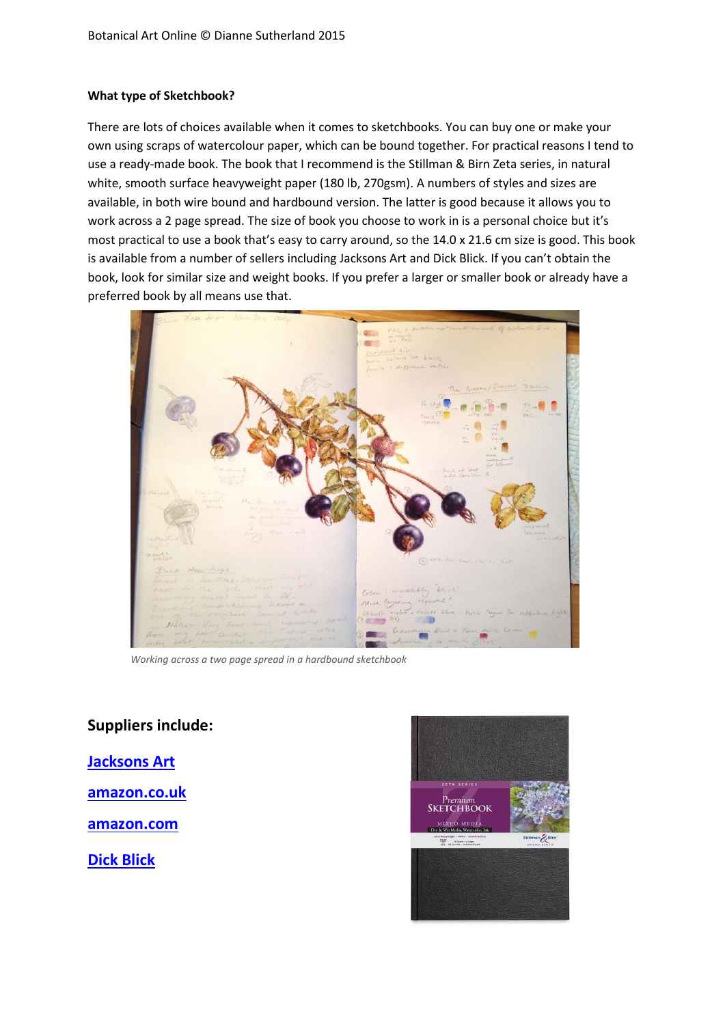### **What type of Sketchbook?**

There are lots of choices available when it comes to sketchbooks. You can buy one or make your own using scraps of watercolour paper, which can be bound together. For practical reasons I tend to use a ready-made book. The book that I recommend is the Stillman & Birn Zeta series, in natural white, smooth surface heavyweight paper (180 lb, 270gsm). A numbers of styles and sizes are available, in both wire bound and hardbound version. The latter is good because it allows you to work across a 2 page spread. The size of book you choose to work in is a personal choice but it's most practical to use a book that's easy to carry around, so the 14.0 x 21.6 cm size is good. This book is available from a number of sellers including Jacksons Art and Dick Blick. If you can't obtain the book, look for similar size and weight books. If you prefer a larger or smaller book or already have a preferred book by all means use that.



*Working across a two page spread in a hardbound sketchbook*

# **Suppliers include:**

**[Jacksons Art](http://www.jacksonsart.com/p57153/Stillman_&_Birn_:_Zeta_Sketchbook_5.5_x_8.5in_Hardbound_270gsm_-_Natural_White_Smooth/product_info.html)**

**[amazon.co.uk](http://www.amazon.co.uk/Stillman-Birn-Hardbound-Sketchbook-5-5X8-5/dp/B00DIF8074/ref=sr_1_2?ie=UTF8&qid=1434826908&sr=8-2&keywords=stillman+%26+Birn+Zeta)**

**[amazon.com](http://www.amazon.com/Stillman-Birn-Hardbound-Sketchbook-5-5X8-5/dp/B00BW5FLN8/ref=sr_1_3?ie=UTF8&qid=1434827029&sr=8-3&keywords=stillman+%26+Birn+zeta)**

**[Dick Blick](http://www.dickblick.com/products/stillman-and-birn-archival-sketchbooks/)**

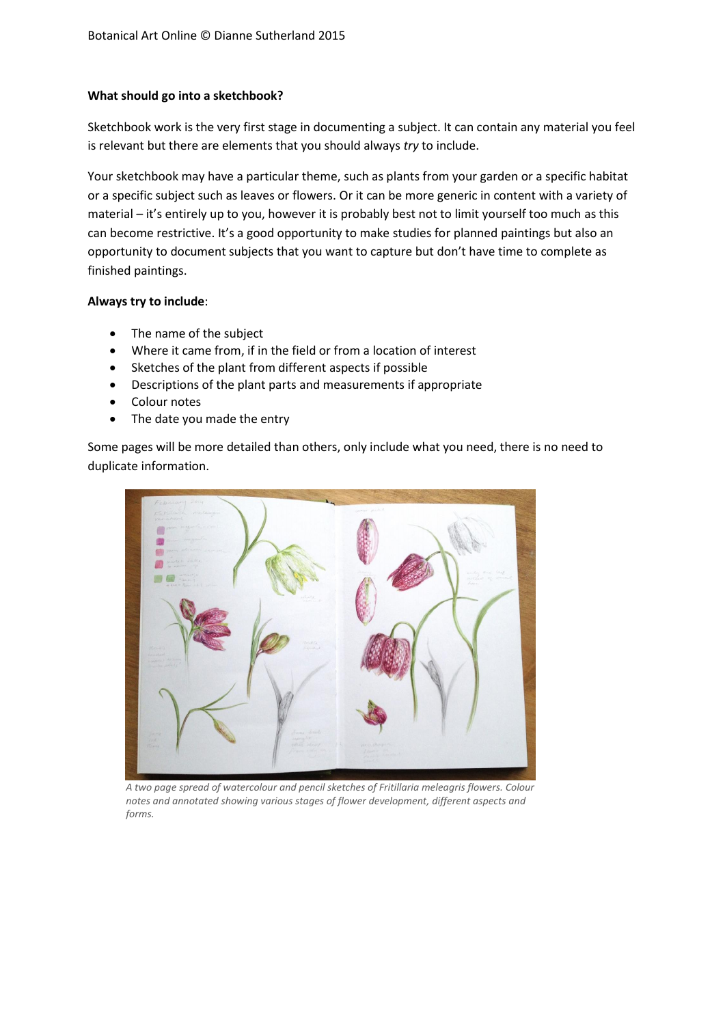### **What should go into a sketchbook?**

Sketchbook work is the very first stage in documenting a subject. It can contain any material you feel is relevant but there are elements that you should always *try* to include.

Your sketchbook may have a particular theme, such as plants from your garden or a specific habitat or a specific subject such as leaves or flowers. Or it can be more generic in content with a variety of material – it's entirely up to you, however it is probably best not to limit yourself too much as this can become restrictive. It's a good opportunity to make studies for planned paintings but also an opportunity to document subjects that you want to capture but don't have time to complete as finished paintings.

## **Always try to include**:

- The name of the subject
- Where it came from, if in the field or from a location of interest
- Sketches of the plant from different aspects if possible
- Descriptions of the plant parts and measurements if appropriate
- Colour notes
- The date you made the entry

Some pages will be more detailed than others, only include what you need, there is no need to duplicate information.



*A two page spread of watercolour and pencil sketches of Fritillaria meleagris flowers. Colour notes and annotated showing various stages of flower development, different aspects and forms.*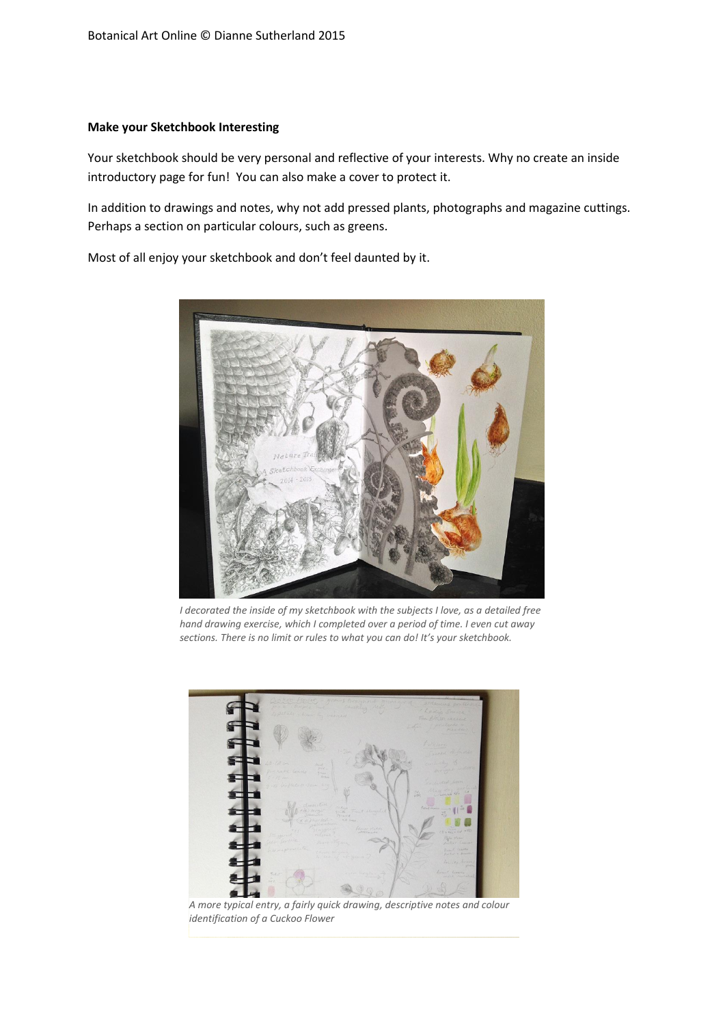#### **Make your Sketchbook Interesting**

Your sketchbook should be very personal and reflective of your interests. Why no create an inside introductory page for fun! You can also make a cover to protect it.

In addition to drawings and notes, why not add pressed plants, photographs and magazine cuttings. Perhaps a section on particular colours, such as greens.

Most of all enjoy your sketchbook and don't feel daunted by it.



*I decorated the inside of my sketchbook with the subjects I love, as a detailed free hand drawing exercise, which I completed over a period of time. I even cut away sections. There is no limit or rules to what you can do! It's your sketchbook.*



*A more typical entry, a fairly quick drawing, descriptive notes and colour identification of a Cuckoo Flower*